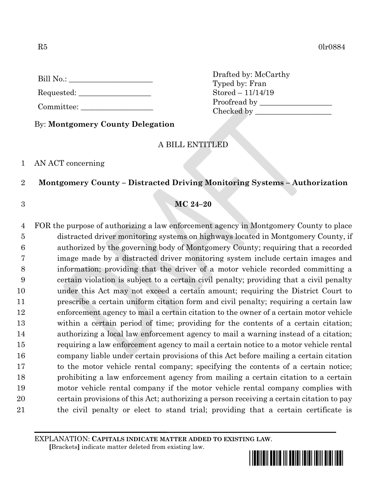$R5$  0lr0884

Requested:

Committee:

By: **Montgomery County Delegation**

# A BILL ENTITLED

Drafted by: McCarthy

Checked by \_\_\_\_\_\_\_\_\_\_\_\_\_\_\_\_\_\_\_\_

Typed by: Fran Stored – 11/14/19 Proofread by

## 1 AN ACT concerning

# 2 **Montgomery County – Distracted Driving Monitoring Systems – Authorization**

## 3 **MC 24–20**

 FOR the purpose of authorizing a law enforcement agency in Montgomery County to place distracted driver monitoring systems on highways located in Montgomery County, if authorized by the governing body of Montgomery County; requiring that a recorded image made by a distracted driver monitoring system include certain images and information; providing that the driver of a motor vehicle recorded committing a certain violation is subject to a certain civil penalty; providing that a civil penalty under this Act may not exceed a certain amount; requiring the District Court to prescribe a certain uniform citation form and civil penalty; requiring a certain law enforcement agency to mail a certain citation to the owner of a certain motor vehicle within a certain period of time; providing for the contents of a certain citation; authorizing a local law enforcement agency to mail a warning instead of a citation; requiring a law enforcement agency to mail a certain notice to a motor vehicle rental company liable under certain provisions of this Act before mailing a certain citation to the motor vehicle rental company; specifying the contents of a certain notice; prohibiting a law enforcement agency from mailing a certain citation to a certain motor vehicle rental company if the motor vehicle rental company complies with certain provisions of this Act; authorizing a person receiving a certain citation to pay the civil penalty or elect to stand trial; providing that a certain certificate is

EXPLANATION: **CAPITALS INDICATE MATTER ADDED TO EXISTING LAW**.

 **[**Brackets**]** indicate matter deleted from existing law.

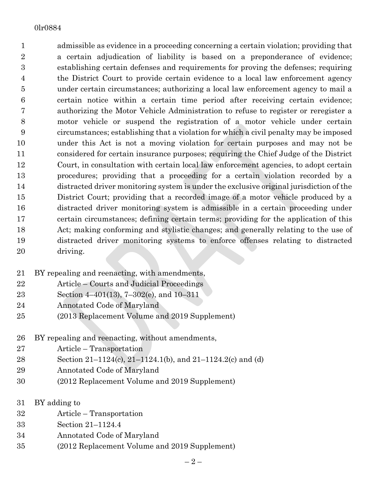admissible as evidence in a proceeding concerning a certain violation; providing that a certain adjudication of liability is based on a preponderance of evidence; establishing certain defenses and requirements for proving the defenses; requiring the District Court to provide certain evidence to a local law enforcement agency under certain circumstances; authorizing a local law enforcement agency to mail a certain notice within a certain time period after receiving certain evidence; authorizing the Motor Vehicle Administration to refuse to register or reregister a motor vehicle or suspend the registration of a motor vehicle under certain circumstances; establishing that a violation for which a civil penalty may be imposed under this Act is not a moving violation for certain purposes and may not be considered for certain insurance purposes; requiring the Chief Judge of the District Court, in consultation with certain local law enforcement agencies, to adopt certain procedures; providing that a proceeding for a certain violation recorded by a distracted driver monitoring system is under the exclusive original jurisdiction of the District Court; providing that a recorded image of a motor vehicle produced by a distracted driver monitoring system is admissible in a certain proceeding under certain circumstances; defining certain terms; providing for the application of this Act; making conforming and stylistic changes; and generally relating to the use of distracted driver monitoring systems to enforce offenses relating to distracted driving.

- BY repealing and reenacting, with amendments,
- Article Courts and Judicial Proceedings
- Section 4–401(13), 7–302(e), and 10–311
- Annotated Code of Maryland
- (2013 Replacement Volume and 2019 Supplement)
- BY repealing and reenacting, without amendments,
- Article Transportation
- Section 21–1124(c), 21–1124.1(b), and 21–1124.2(c) and (d)
- Annotated Code of Maryland
- (2012 Replacement Volume and 2019 Supplement)
- BY adding to
- Article Transportation
- Section 21–1124.4
- Annotated Code of Maryland
- (2012 Replacement Volume and 2019 Supplement)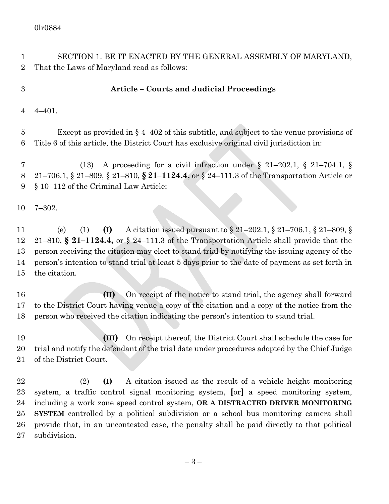– 3 – SECTION 1. BE IT ENACTED BY THE GENERAL ASSEMBLY OF MARYLAND, That the Laws of Maryland read as follows: **Article – Courts and Judicial Proceedings** 4–401. Except as provided in § 4–402 of this subtitle, and subject to the venue provisions of Title 6 of this article, the District Court has exclusive original civil jurisdiction in: (13) A proceeding for a civil infraction under § 21–202.1, § 21–704.1, § 21–706.1, § 21–809, § 21–810, **§ 21–1124.4,** or § 24–111.3 of the Transportation Article or § 10–112 of the Criminal Law Article; 7–302. (e) (1) **(I)** A citation issued pursuant to § 21–202.1, § 21–706.1, § 21–809, § 21–810, **§ 21–1124.4,** or § 24–111.3 of the Transportation Article shall provide that the person receiving the citation may elect to stand trial by notifying the issuing agency of the person's intention to stand trial at least 5 days prior to the date of payment as set forth in the citation. **(II)** On receipt of the notice to stand trial, the agency shall forward to the District Court having venue a copy of the citation and a copy of the notice from the person who received the citation indicating the person's intention to stand trial. **(III)** On receipt thereof, the District Court shall schedule the case for trial and notify the defendant of the trial date under procedures adopted by the Chief Judge of the District Court. (2) **(I)** A citation issued as the result of a vehicle height monitoring system, a traffic control signal monitoring system, **[**or**]** a speed monitoring system, including a work zone speed control system, **OR A DISTRACTED DRIVER MONITORING SYSTEM** controlled by a political subdivision or a school bus monitoring camera shall provide that, in an uncontested case, the penalty shall be paid directly to that political subdivision.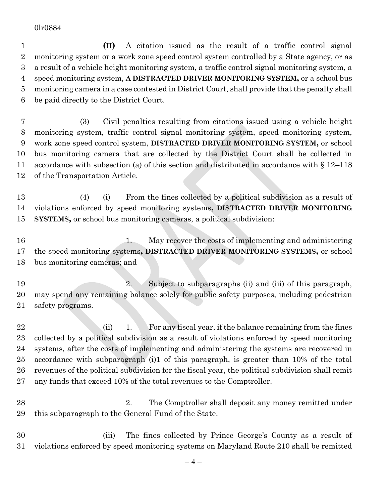**(II)** A citation issued as the result of a traffic control signal monitoring system or a work zone speed control system controlled by a State agency, or as a result of a vehicle height monitoring system, a traffic control signal monitoring system, a speed monitoring system, **A DISTRACTED DRIVER MONITORING SYSTEM,** or a school bus monitoring camera in a case contested in District Court, shall provide that the penalty shall be paid directly to the District Court.

 (3) Civil penalties resulting from citations issued using a vehicle height monitoring system, traffic control signal monitoring system, speed monitoring system, work zone speed control system, **DISTRACTED DRIVER MONITORING SYSTEM,** or school bus monitoring camera that are collected by the District Court shall be collected in accordance with subsection (a) of this section and distributed in accordance with § 12–118 of the Transportation Article.

- (4) (i) From the fines collected by a political subdivision as a result of violations enforced by speed monitoring systems**, DISTRACTED DRIVER MONITORING SYSTEMS,** or school bus monitoring cameras, a political subdivision:
- 16 16 1. May recover the costs of implementing and administering the speed monitoring systems**, DISTRACTED DRIVER MONITORING SYSTEMS,** or school bus monitoring cameras; and

 2. Subject to subparagraphs (ii) and (iii) of this paragraph, may spend any remaining balance solely for public safety purposes, including pedestrian safety programs.

22 (ii) 1. For any fiscal year, if the balance remaining from the fines collected by a political subdivision as a result of violations enforced by speed monitoring systems, after the costs of implementing and administering the systems are recovered in accordance with subparagraph (i)1 of this paragraph, is greater than 10% of the total revenues of the political subdivision for the fiscal year, the political subdivision shall remit any funds that exceed 10% of the total revenues to the Comptroller.

- 28 2. The Comptroller shall deposit any money remitted under this subparagraph to the General Fund of the State.
- (iii) The fines collected by Prince George's County as a result of violations enforced by speed monitoring systems on Maryland Route 210 shall be remitted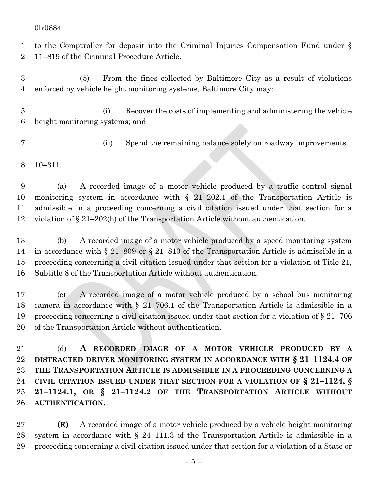to the Comptroller for deposit into the Criminal Injuries Compensation Fund under § 11–819 of the Criminal Procedure Article.

 (5) From the fines collected by Baltimore City as a result of violations enforced by vehicle height monitoring systems, Baltimore City may:

 (i) Recover the costs of implementing and administering the vehicle height monitoring systems; and

(ii) Spend the remaining balance solely on roadway improvements.

10–311.

 (a) A recorded image of a motor vehicle produced by a traffic control signal monitoring system in accordance with § 21–202.1 of the Transportation Article is admissible in a proceeding concerning a civil citation issued under that section for a violation of § 21–202(h) of the Transportation Article without authentication.

 (b) A recorded image of a motor vehicle produced by a speed monitoring system in accordance with § 21–809 or § 21–810 of the Transportation Article is admissible in a proceeding concerning a civil citation issued under that section for a violation of Title 21, Subtitle 8 of the Transportation Article without authentication.

 (c) A recorded image of a motor vehicle produced by a school bus monitoring camera in accordance with § 21–706.1 of the Transportation Article is admissible in a proceeding concerning a civil citation issued under that section for a violation of § 21–706 of the Transportation Article without authentication.

 (d) **A RECORDED IMAGE OF A MOTOR VEHICLE PRODUCED BY A DISTRACTED DRIVER MONITORING SYSTEM IN ACCORDANCE WITH § 21–1124.4 OF THE TRANSPORTATION ARTICLE IS ADMISSIBLE IN A PROCEEDING CONCERNING A CIVIL CITATION ISSUED UNDER THAT SECTION FOR A VIOLATION OF § 21–1124, § 21–1124.1, OR § 21–1124.2 OF THE TRANSPORTATION ARTICLE WITHOUT AUTHENTICATION.**

 **(E)** A recorded image of a motor vehicle produced by a vehicle height monitoring system in accordance with § 24–111.3 of the Transportation Article is admissible in a proceeding concerning a civil citation issued under that section for a violation of a State or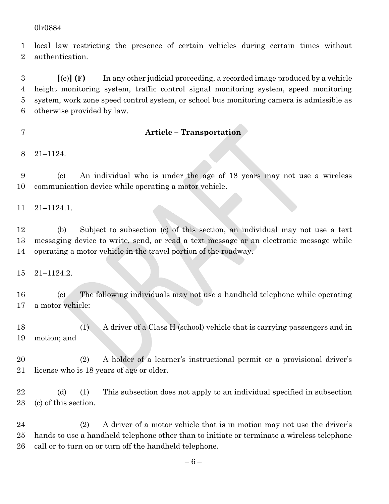local law restricting the presence of certain vehicles during certain times without authentication.

 **[**(e)**] (F)** In any other judicial proceeding, a recorded image produced by a vehicle height monitoring system, traffic control signal monitoring system, speed monitoring system, work zone speed control system, or school bus monitoring camera is admissible as otherwise provided by law.

### **Article – Transportation**

21–1124.

 (c) An individual who is under the age of 18 years may not use a wireless communication device while operating a motor vehicle.

21–1124.1.

 (b) Subject to subsection (c) of this section, an individual may not use a text messaging device to write, send, or read a text message or an electronic message while operating a motor vehicle in the travel portion of the roadway.

21–1124.2.

 (c) The following individuals may not use a handheld telephone while operating a motor vehicle:

 (1) A driver of a Class H (school) vehicle that is carrying passengers and in motion; and

 (2) A holder of a learner's instructional permit or a provisional driver's license who is 18 years of age or older.

 (d) (1) This subsection does not apply to an individual specified in subsection (c) of this section.

 (2) A driver of a motor vehicle that is in motion may not use the driver's hands to use a handheld telephone other than to initiate or terminate a wireless telephone call or to turn on or turn off the handheld telephone.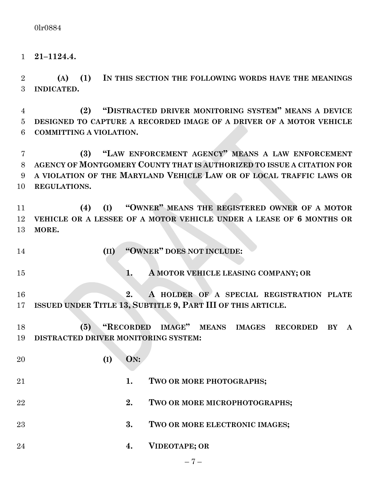**21–1124.4.**

 **(A) (1) IN THIS SECTION THE FOLLOWING WORDS HAVE THE MEANINGS INDICATED.**

 **(2) "DISTRACTED DRIVER MONITORING SYSTEM" MEANS A DEVICE DESIGNED TO CAPTURE A RECORDED IMAGE OF A DRIVER OF A MOTOR VEHICLE COMMITTING A VIOLATION.**

 **(3) "LAW ENFORCEMENT AGENCY" MEANS A LAW ENFORCEMENT AGENCY OF MONTGOMERY COUNTY THAT IS AUTHORIZED TO ISSUE A CITATION FOR A VIOLATION OF THE MARYLAND VEHICLE LAW OR OF LOCAL TRAFFIC LAWS OR REGULATIONS.**

 **(4) (I) "OWNER" MEANS THE REGISTERED OWNER OF A MOTOR VEHICLE OR A LESSEE OF A MOTOR VEHICLE UNDER A LEASE OF 6 MONTHS OR MORE.**

**(II) "OWNER" DOES NOT INCLUDE:**

**1. A MOTOR VEHICLE LEASING COMPANY; OR**

 **2. A HOLDER OF A SPECIAL REGISTRATION PLATE ISSUED UNDER TITLE 13, SUBTITLE 9, PART III OF THIS ARTICLE.**

 **(5) "RECORDED IMAGE" MEANS IMAGES RECORDED BY A DISTRACTED DRIVER MONITORING SYSTEM:**

 **(I) ON: 1. TWO OR MORE PHOTOGRAPHS; 2. TWO OR MORE MICROPHOTOGRAPHS; 3. TWO OR MORE ELECTRONIC IMAGES; 4. VIDEOTAPE; OR**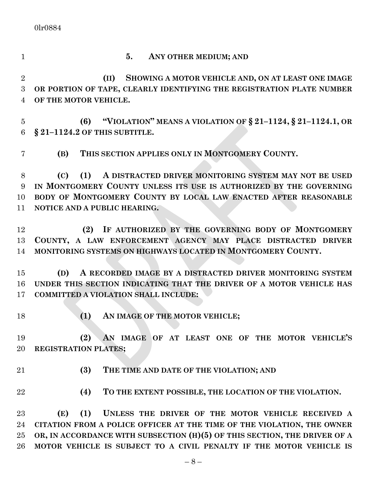- 
- **5. ANY OTHER MEDIUM; AND**

 **(II) SHOWING A MOTOR VEHICLE AND, ON AT LEAST ONE IMAGE OR PORTION OF TAPE, CLEARLY IDENTIFYING THE REGISTRATION PLATE NUMBER OF THE MOTOR VEHICLE.**

 **(6) "VIOLATION" MEANS A VIOLATION OF § 21–1124, § 21–1124.1, OR § 21–1124.2 OF THIS SUBTITLE.**

**(B) THIS SECTION APPLIES ONLY IN MONTGOMERY COUNTY.**

 **(C) (1) A DISTRACTED DRIVER MONITORING SYSTEM MAY NOT BE USED IN MONTGOMERY COUNTY UNLESS ITS USE IS AUTHORIZED BY THE GOVERNING BODY OF MONTGOMERY COUNTY BY LOCAL LAW ENACTED AFTER REASONABLE NOTICE AND A PUBLIC HEARING.**

 **(2) IF AUTHORIZED BY THE GOVERNING BODY OF MONTGOMERY COUNTY, A LAW ENFORCEMENT AGENCY MAY PLACE DISTRACTED DRIVER MONITORING SYSTEMS ON HIGHWAYS LOCATED IN MONTGOMERY COUNTY.**

 **(D) A RECORDED IMAGE BY A DISTRACTED DRIVER MONITORING SYSTEM UNDER THIS SECTION INDICATING THAT THE DRIVER OF A MOTOR VEHICLE HAS COMMITTED A VIOLATION SHALL INCLUDE:**

**(1) AN IMAGE OF THE MOTOR VEHICLE;**

 **(2) AN IMAGE OF AT LEAST ONE OF THE MOTOR VEHICLE'S REGISTRATION PLATES;**

- 
- **(3) THE TIME AND DATE OF THE VIOLATION; AND**
- 
- **(4) TO THE EXTENT POSSIBLE, THE LOCATION OF THE VIOLATION.**

 **(E) (1) UNLESS THE DRIVER OF THE MOTOR VEHICLE RECEIVED A CITATION FROM A POLICE OFFICER AT THE TIME OF THE VIOLATION, THE OWNER OR, IN ACCORDANCE WITH SUBSECTION (H)(5) OF THIS SECTION, THE DRIVER OF A MOTOR VEHICLE IS SUBJECT TO A CIVIL PENALTY IF THE MOTOR VEHICLE IS**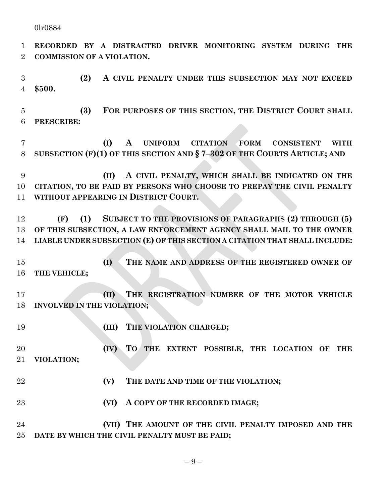**RECORDED BY A DISTRACTED DRIVER MONITORING SYSTEM DURING THE COMMISSION OF A VIOLATION.**

 **(2) A CIVIL PENALTY UNDER THIS SUBSECTION MAY NOT EXCEED \$500.**

 **(3) FOR PURPOSES OF THIS SECTION, THE DISTRICT COURT SHALL PRESCRIBE:**

 **(I) A UNIFORM CITATION FORM CONSISTENT WITH SUBSECTION (F)(1) OF THIS SECTION AND § 7–302 OF THE COURTS ARTICLE; AND**

 **(II) A CIVIL PENALTY, WHICH SHALL BE INDICATED ON THE CITATION, TO BE PAID BY PERSONS WHO CHOOSE TO PREPAY THE CIVIL PENALTY WITHOUT APPEARING IN DISTRICT COURT.**

 **(F) (1) SUBJECT TO THE PROVISIONS OF PARAGRAPHS (2) THROUGH (5) OF THIS SUBSECTION, A LAW ENFORCEMENT AGENCY SHALL MAIL TO THE OWNER LIABLE UNDER SUBSECTION (E) OF THIS SECTION A CITATION THAT SHALL INCLUDE:**

 **(I) THE NAME AND ADDRESS OF THE REGISTERED OWNER OF THE VEHICLE;**

 **(II) THE REGISTRATION NUMBER OF THE MOTOR VEHICLE INVOLVED IN THE VIOLATION;**

**(III) THE VIOLATION CHARGED;**

 **(IV) TO THE EXTENT POSSIBLE, THE LOCATION OF THE VIOLATION;**

- **(V) THE DATE AND TIME OF THE VIOLATION;**
- **(VI) A COPY OF THE RECORDED IMAGE;**

 **(VII) THE AMOUNT OF THE CIVIL PENALTY IMPOSED AND THE DATE BY WHICH THE CIVIL PENALTY MUST BE PAID;**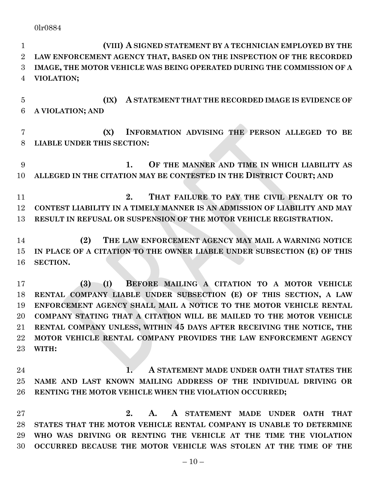**(VIII) A SIGNED STATEMENT BY A TECHNICIAN EMPLOYED BY THE LAW ENFORCEMENT AGENCY THAT, BASED ON THE INSPECTION OF THE RECORDED IMAGE, THE MOTOR VEHICLE WAS BEING OPERATED DURING THE COMMISSION OF A VIOLATION;**

 **(IX) A STATEMENT THAT THE RECORDED IMAGE IS EVIDENCE OF A VIOLATION; AND**

 **(X) INFORMATION ADVISING THE PERSON ALLEGED TO BE LIABLE UNDER THIS SECTION:**

 **1. OF THE MANNER AND TIME IN WHICH LIABILITY AS ALLEGED IN THE CITATION MAY BE CONTESTED IN THE DISTRICT COURT; AND**

 **2. THAT FAILURE TO PAY THE CIVIL PENALTY OR TO CONTEST LIABILITY IN A TIMELY MANNER IS AN ADMISSION OF LIABILITY AND MAY RESULT IN REFUSAL OR SUSPENSION OF THE MOTOR VEHICLE REGISTRATION.**

 **(2) THE LAW ENFORCEMENT AGENCY MAY MAIL A WARNING NOTICE IN PLACE OF A CITATION TO THE OWNER LIABLE UNDER SUBSECTION (E) OF THIS SECTION.**

 **(3) (I) BEFORE MAILING A CITATION TO A MOTOR VEHICLE RENTAL COMPANY LIABLE UNDER SUBSECTION (E) OF THIS SECTION, A LAW ENFORCEMENT AGENCY SHALL MAIL A NOTICE TO THE MOTOR VEHICLE RENTAL COMPANY STATING THAT A CITATION WILL BE MAILED TO THE MOTOR VEHICLE RENTAL COMPANY UNLESS, WITHIN 45 DAYS AFTER RECEIVING THE NOTICE, THE MOTOR VEHICLE RENTAL COMPANY PROVIDES THE LAW ENFORCEMENT AGENCY WITH:**

 **1. A STATEMENT MADE UNDER OATH THAT STATES THE NAME AND LAST KNOWN MAILING ADDRESS OF THE INDIVIDUAL DRIVING OR RENTING THE MOTOR VEHICLE WHEN THE VIOLATION OCCURRED;**

 **2. A. A STATEMENT MADE UNDER OATH THAT STATES THAT THE MOTOR VEHICLE RENTAL COMPANY IS UNABLE TO DETERMINE WHO WAS DRIVING OR RENTING THE VEHICLE AT THE TIME THE VIOLATION OCCURRED BECAUSE THE MOTOR VEHICLE WAS STOLEN AT THE TIME OF THE**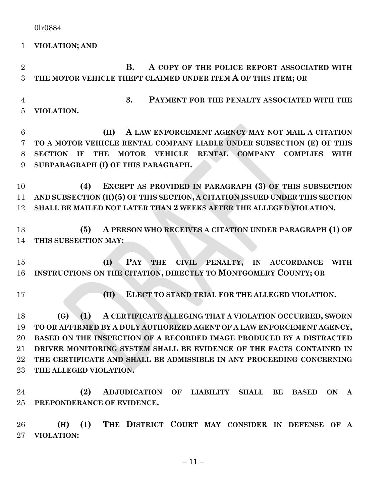**VIOLATION; AND**

 **B. A COPY OF THE POLICE REPORT ASSOCIATED WITH THE MOTOR VEHICLE THEFT CLAIMED UNDER ITEM A OF THIS ITEM; OR 3. PAYMENT FOR THE PENALTY ASSOCIATED WITH THE VIOLATION. (II) A LAW ENFORCEMENT AGENCY MAY NOT MAIL A CITATION TO A MOTOR VEHICLE RENTAL COMPANY LIABLE UNDER SUBSECTION (E) OF THIS SECTION IF THE MOTOR VEHICLE RENTAL COMPANY COMPLIES WITH SUBPARAGRAPH (I) OF THIS PARAGRAPH. (4) EXCEPT AS PROVIDED IN PARAGRAPH (3) OF THIS SUBSECTION AND SUBSECTION (H)(5) OF THIS SECTION, A CITATION ISSUED UNDER THIS SECTION SHALL BE MAILED NOT LATER THAN 2 WEEKS AFTER THE ALLEGED VIOLATION. (5) A PERSON WHO RECEIVES A CITATION UNDER PARAGRAPH (1) OF THIS SUBSECTION MAY: (I) PAY THE CIVIL PENALTY, IN ACCORDANCE WITH INSTRUCTIONS ON THE CITATION, DIRECTLY TO MONTGOMERY COUNTY; OR (II) ELECT TO STAND TRIAL FOR THE ALLEGED VIOLATION. (G) (1) A CERTIFICATE ALLEGING THAT A VIOLATION OCCURRED, SWORN TO OR AFFIRMED BY A DULY AUTHORIZED AGENT OF A LAW ENFORCEMENT AGENCY, BASED ON THE INSPECTION OF A RECORDED IMAGE PRODUCED BY A DISTRACTED DRIVER MONITORING SYSTEM SHALL BE EVIDENCE OF THE FACTS CONTAINED IN THE CERTIFICATE AND SHALL BE ADMISSIBLE IN ANY PROCEEDING CONCERNING THE ALLEGED VIOLATION. (2) ADJUDICATION OF LIABILITY SHALL BE BASED ON A PREPONDERANCE OF EVIDENCE. (H) (1)** THE DISTRICT COURT MAY CONSIDER IN DEFENSE OF A **VIOLATION:**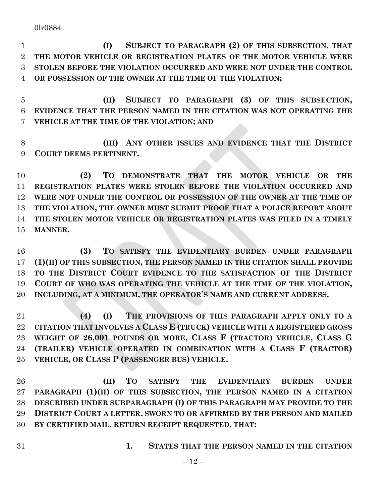**(I) SUBJECT TO PARAGRAPH (2) OF THIS SUBSECTION, THAT THE MOTOR VEHICLE OR REGISTRATION PLATES OF THE MOTOR VEHICLE WERE STOLEN BEFORE THE VIOLATION OCCURRED AND WERE NOT UNDER THE CONTROL OR POSSESSION OF THE OWNER AT THE TIME OF THE VIOLATION;**

 **(II) SUBJECT TO PARAGRAPH (3) OF THIS SUBSECTION, EVIDENCE THAT THE PERSON NAMED IN THE CITATION WAS NOT OPERATING THE VEHICLE AT THE TIME OF THE VIOLATION; AND**

 **(III) ANY OTHER ISSUES AND EVIDENCE THAT THE DISTRICT COURT DEEMS PERTINENT.**

 **(2) TO DEMONSTRATE THAT THE MOTOR VEHICLE OR THE REGISTRATION PLATES WERE STOLEN BEFORE THE VIOLATION OCCURRED AND WERE NOT UNDER THE CONTROL OR POSSESSION OF THE OWNER AT THE TIME OF THE VIOLATION, THE OWNER MUST SUBMIT PROOF THAT A POLICE REPORT ABOUT THE STOLEN MOTOR VEHICLE OR REGISTRATION PLATES WAS FILED IN A TIMELY MANNER.**

 **(3) TO SATISFY THE EVIDENTIARY BURDEN UNDER PARAGRAPH (1)(II) OF THIS SUBSECTION, THE PERSON NAMED IN THE CITATION SHALL PROVIDE TO THE DISTRICT COURT EVIDENCE TO THE SATISFACTION OF THE DISTRICT COURT OF WHO WAS OPERATING THE VEHICLE AT THE TIME OF THE VIOLATION, INCLUDING, AT A MINIMUM, THE OPERATOR'S NAME AND CURRENT ADDRESS.**

 **(4) (I) THE PROVISIONS OF THIS PARAGRAPH APPLY ONLY TO A CITATION THAT INVOLVES A CLASS E (TRUCK) VEHICLE WITH A REGISTERED GROSS WEIGHT OF 26,001 POUNDS OR MORE, CLASS F (TRACTOR) VEHICLE, CLASS G (TRAILER) VEHICLE OPERATED IN COMBINATION WITH A CLASS F (TRACTOR) VEHICLE, OR CLASS P (PASSENGER BUS) VEHICLE.**

 **(II) TO SATISFY THE EVIDENTIARY BURDEN UNDER PARAGRAPH (1)(II) OF THIS SUBSECTION, THE PERSON NAMED IN A CITATION DESCRIBED UNDER SUBPARAGRAPH (I) OF THIS PARAGRAPH MAY PROVIDE TO THE DISTRICT COURT A LETTER, SWORN TO OR AFFIRMED BY THE PERSON AND MAILED BY CERTIFIED MAIL, RETURN RECEIPT REQUESTED, THAT:**

**1. STATES THAT THE PERSON NAMED IN THE CITATION**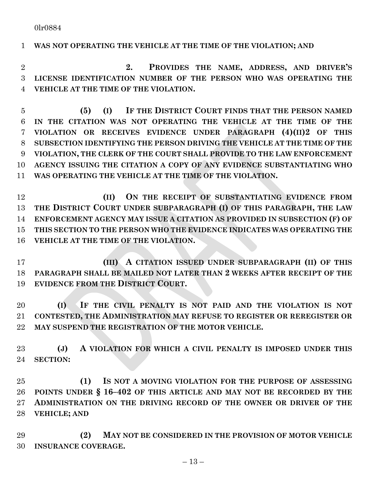### **WAS NOT OPERATING THE VEHICLE AT THE TIME OF THE VIOLATION; AND**

 **2. PROVIDES THE NAME, ADDRESS, AND DRIVER'S LICENSE IDENTIFICATION NUMBER OF THE PERSON WHO WAS OPERATING THE VEHICLE AT THE TIME OF THE VIOLATION.**

- **(5) (I) IF THE DISTRICT COURT FINDS THAT THE PERSON NAMED IN THE CITATION WAS NOT OPERATING THE VEHICLE AT THE TIME OF THE VIOLATION OR RECEIVES EVIDENCE UNDER PARAGRAPH (4)(II)2 OF THIS SUBSECTION IDENTIFYING THE PERSON DRIVING THE VEHICLE AT THE TIME OF THE VIOLATION, THE CLERK OF THE COURT SHALL PROVIDE TO THE LAW ENFORCEMENT AGENCY ISSUING THE CITATION A COPY OF ANY EVIDENCE SUBSTANTIATING WHO WAS OPERATING THE VEHICLE AT THE TIME OF THE VIOLATION.**
- **(II) ON THE RECEIPT OF SUBSTANTIATING EVIDENCE FROM THE DISTRICT COURT UNDER SUBPARAGRAPH (I) OF THIS PARAGRAPH, THE LAW ENFORCEMENT AGENCY MAY ISSUE A CITATION AS PROVIDED IN SUBSECTION (F) OF THIS SECTION TO THE PERSON WHO THE EVIDENCE INDICATES WAS OPERATING THE VEHICLE AT THE TIME OF THE VIOLATION.**
- **(III) A CITATION ISSUED UNDER SUBPARAGRAPH (II) OF THIS PARAGRAPH SHALL BE MAILED NOT LATER THAN 2 WEEKS AFTER RECEIPT OF THE EVIDENCE FROM THE DISTRICT COURT.**
- **(I) IF THE CIVIL PENALTY IS NOT PAID AND THE VIOLATION IS NOT CONTESTED, THE ADMINISTRATION MAY REFUSE TO REGISTER OR REREGISTER OR MAY SUSPEND THE REGISTRATION OF THE MOTOR VEHICLE.**
- **(J) A VIOLATION FOR WHICH A CIVIL PENALTY IS IMPOSED UNDER THIS SECTION:**
- **(1) IS NOT A MOVING VIOLATION FOR THE PURPOSE OF ASSESSING POINTS UNDER § 16–402 OF THIS ARTICLE AND MAY NOT BE RECORDED BY THE ADMINISTRATION ON THE DRIVING RECORD OF THE OWNER OR DRIVER OF THE VEHICLE; AND**
- **(2) MAY NOT BE CONSIDERED IN THE PROVISION OF MOTOR VEHICLE INSURANCE COVERAGE.**